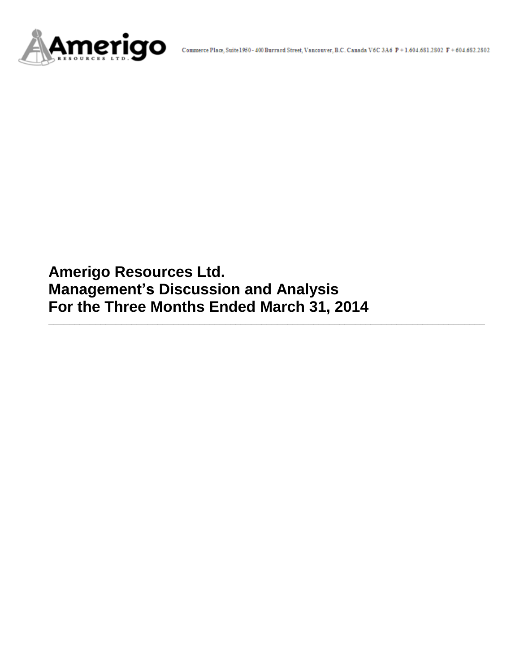

**Amerigo Resources Ltd. Management's Discussion and Analysis For the Three Months Ended March 31, 2014**

**\_\_\_\_\_\_\_\_\_\_\_\_\_\_\_\_\_\_\_\_\_\_\_\_\_\_\_\_\_\_\_\_\_\_\_\_\_\_\_\_\_\_\_\_\_\_\_\_\_\_\_\_\_\_\_\_\_\_\_\_\_\_\_\_\_\_\_\_\_\_\_\_\_\_\_\_\_\_\_\_\_\_\_\_**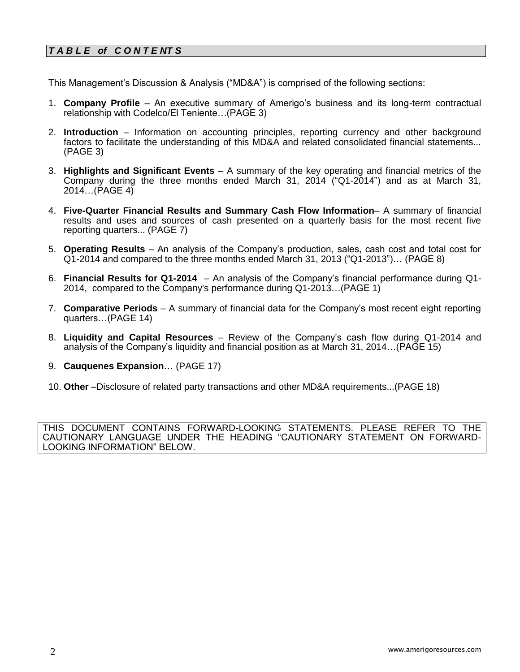## *T A B L E of C O N T E NT S*

This Management's Discussion & Analysis ("MD&A") is comprised of the following sections:

- 1. **Company Profile**  An executive summary of Amerigo's business and its long-term contractual relationship with Codelco/El Teniente…(PAGE 3)
- 2. **Introduction**  Information on accounting principles, reporting currency and other background factors to facilitate the understanding of this MD&A and related consolidated financial statements... (PAGE 3)
- 3. **Highlights and Significant Events** A summary of the key operating and financial metrics of the Company during the three months ended March 31, 2014 ("Q1-2014") and as at March 31, 2014…(PAGE 4)
- 4. **Five-Quarter Financial Results and Summary Cash Flow Information** A summary of financial results and uses and sources of cash presented on a quarterly basis for the most recent five reporting quarters... (PAGE 7)
- 5. **Operating Results** An analysis of the Company's production, sales, cash cost and total cost for Q1-2014 and compared to the three months ended March 31, 2013 ("Q1-2013")… (PAGE 8)
- 6. **Financial Results for Q1-2014** An analysis of the Company's financial performance during Q1- 2014, compared to the Company's performance during Q1-2013…(PAGE 1)
- 7. **Comparative Periods** A summary of financial data for the Company's most recent eight reporting quarters…(PAGE 14)
- 8. **Liquidity and Capital Resources** Review of the Company's cash flow during Q1-2014 and analysis of the Company's liquidity and financial position as at March 31, 2014…(PAGE 15)
- 9. **Cauquenes Expansion**… (PAGE 17)
- 10. **Other** –Disclosure of related party transactions and other MD&A requirements...(PAGE 18)

THIS DOCUMENT CONTAINS FORWARD-LOOKING STATEMENTS. PLEASE REFER TO THE CAUTIONARY LANGUAGE UNDER THE HEADING "CAUTIONARY STATEMENT ON FORWARD-LOOKING INFORMATION" BELOW.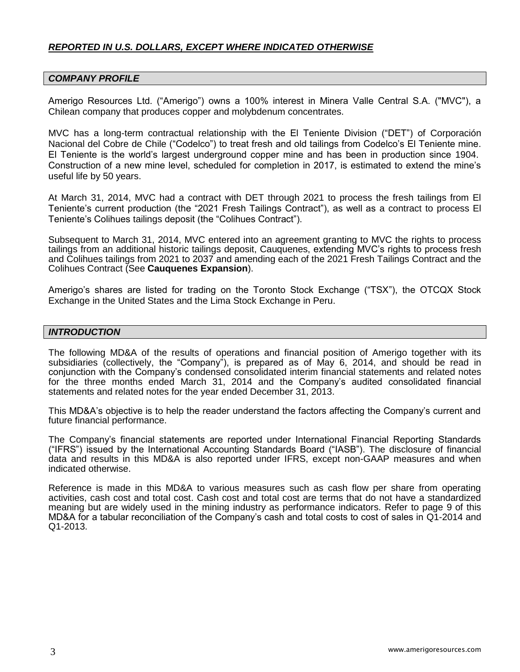## *REPORTED IN U.S. DOLLARS, EXCEPT WHERE INDICATED OTHERWISE*

#### *COMPANY PROFILE*

Amerigo Resources Ltd. ("Amerigo") owns a 100% interest in Minera Valle Central S.A. ("MVC"), a Chilean company that produces copper and molybdenum concentrates.

MVC has a long-term contractual relationship with the El Teniente Division ("DET") of Corporación Nacional del Cobre de Chile ("Codelco") to treat fresh and old tailings from Codelco's El Teniente mine. El Teniente is the world's largest underground copper mine and has been in production since 1904. Construction of a new mine level, scheduled for completion in 2017, is estimated to extend the mine's useful life by 50 years.

At March 31, 2014, MVC had a contract with DET through 2021 to process the fresh tailings from El Teniente's current production (the "2021 Fresh Tailings Contract"), as well as a contract to process El Teniente's Colihues tailings deposit (the "Colihues Contract").

Subsequent to March 31, 2014, MVC entered into an agreement granting to MVC the rights to process tailings from an additional historic tailings deposit, Cauquenes, extending MVC's rights to process fresh and Colihues tailings from 2021 to 2037 and amending each of the 2021 Fresh Tailings Contract and the Colihues Contract (See **Cauquenes Expansion**).

Amerigo's shares are listed for trading on the Toronto Stock Exchange ("TSX"), the OTCQX Stock Exchange in the United States and the Lima Stock Exchange in Peru.

#### *INTRODUCTION*

The following MD&A of the results of operations and financial position of Amerigo together with its subsidiaries (collectively, the "Company"), is prepared as of May 6, 2014, and should be read in conjunction with the Company's condensed consolidated interim financial statements and related notes for the three months ended March 31, 2014 and the Company's audited consolidated financial statements and related notes for the year ended December 31, 2013.

This MD&A's objective is to help the reader understand the factors affecting the Company's current and future financial performance.

The Company's financial statements are reported under International Financial Reporting Standards ("IFRS") issued by the International Accounting Standards Board ("IASB"). The disclosure of financial data and results in this MD&A is also reported under IFRS, except non-GAAP measures and when indicated otherwise.

Reference is made in this MD&A to various measures such as cash flow per share from operating activities, cash cost and total cost. Cash cost and total cost are terms that do not have a standardized meaning but are widely used in the mining industry as performance indicators. Refer to page 9 of this MD&A for a tabular reconciliation of the Company's cash and total costs to cost of sales in Q1-2014 and Q1-2013.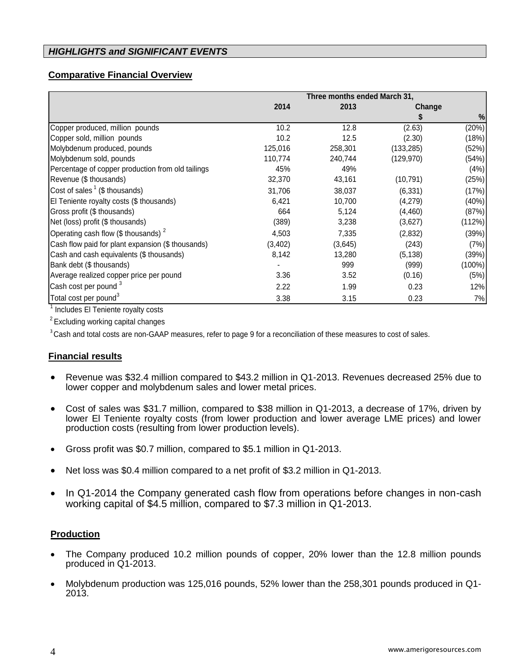## *HIGHLIGHTS and SIGNIFICANT EVENTS*

## **Comparative Financial Overview**

|                                                   | Three months ended March 31, |         |            |        |  |
|---------------------------------------------------|------------------------------|---------|------------|--------|--|
|                                                   | 2014                         | 2013    | Change     |        |  |
|                                                   |                              |         |            | %      |  |
| Copper produced, million pounds                   | 10.2                         | 12.8    | (2.63)     | (20%)  |  |
| Copper sold, million pounds                       | 10.2                         | 12.5    | (2.30)     | (18%)  |  |
| Molybdenum produced, pounds                       | 125,016                      | 258,301 | (133, 285) | (52%)  |  |
| Molybdenum sold, pounds                           | 110,774                      | 240,744 | (129,970)  | (54%)  |  |
| Percentage of copper production from old tailings | 45%                          | 49%     |            | (4%)   |  |
| Revenue (\$ thousands)                            | 32,370                       | 43,161  | (10, 791)  | (25%)  |  |
| Cost of sales $1$ (\$ thousands)                  | 31,706                       | 38,037  | (6, 331)   | (17%)  |  |
| El Teniente royalty costs (\$ thousands)          | 6,421                        | 10,700  | (4,279)    | (40%)  |  |
| Gross profit (\$ thousands)                       | 664                          | 5,124   | (4, 460)   | (87%)  |  |
| Net (loss) profit (\$ thousands)                  | (389)                        | 3,238   | (3,627)    | (112%) |  |
| Operating cash flow (\$ thousands) $^2$           | 4,503                        | 7,335   | (2,832)    | (39%)  |  |
| Cash flow paid for plant expansion (\$ thousands) | (3, 402)                     | (3,645) | (243)      | (7%)   |  |
| Cash and cash equivalents (\$ thousands)          | 8,142                        | 13,280  | (5, 138)   | (39%)  |  |
| Bank debt (\$ thousands)                          |                              | 999     | (999)      | (100%) |  |
| Average realized copper price per pound           | 3.36                         | 3.52    | (0.16)     | (5%)   |  |
| Cash cost per pound 3                             | 2.22                         | 1.99    | 0.23       | 12%    |  |
| Total cost per pound <sup>3</sup>                 | 3.38                         | 3.15    | 0.23       | 7%     |  |

<sup>1</sup> Includes El Teniente royalty costs

<sup>2</sup> Excluding working capital changes

<sup>3</sup>Cash and total costs are non-GAAP measures, refer to page 9 for a reconciliation of these measures to cost of sales.

## **Financial results**

- Revenue was \$32.4 million compared to \$43.2 million in Q1-2013. Revenues decreased 25% due to lower copper and molybdenum sales and lower metal prices.
- Cost of sales was \$31.7 million, compared to \$38 million in Q1-2013, a decrease of 17%, driven by lower El Teniente royalty costs (from lower production and lower average LME prices) and lower production costs (resulting from lower production levels).
- Gross profit was \$0.7 million, compared to \$5.1 million in Q1-2013.
- Net loss was \$0.4 million compared to a net profit of \$3.2 million in Q1-2013.
- In Q1-2014 the Company generated cash flow from operations before changes in non-cash working capital of \$4.5 million, compared to \$7.3 million in Q1-2013.

## **Production**

- The Company produced 10.2 million pounds of copper, 20% lower than the 12.8 million pounds produced in Q1-2013.
- Molybdenum production was 125,016 pounds, 52% lower than the 258,301 pounds produced in Q1- 2013.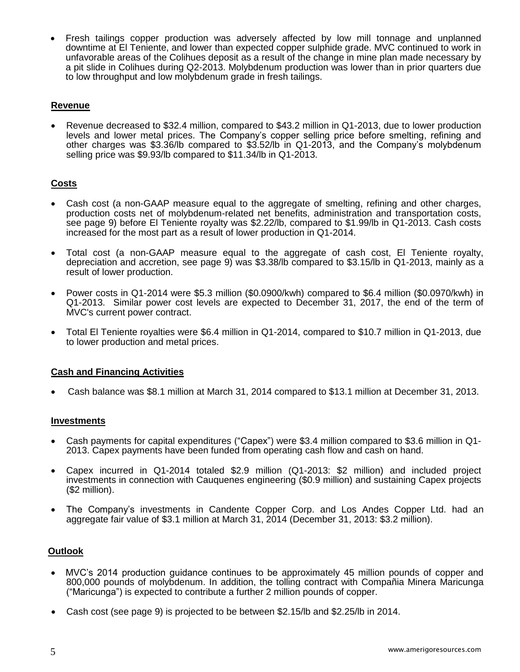Fresh tailings copper production was adversely affected by low mill tonnage and unplanned downtime at El Teniente, and lower than expected copper sulphide grade. MVC continued to work in unfavorable areas of the Colihues deposit as a result of the change in mine plan made necessary by a pit slide in Colihues during Q2-2013. Molybdenum production was lower than in prior quarters due to low throughput and low molybdenum grade in fresh tailings.

## **Revenue**

 Revenue decreased to \$32.4 million, compared to \$43.2 million in Q1-2013, due to lower production levels and lower metal prices. The Company's copper selling price before smelting, refining and other charges was \$3.36/lb compared to \$3.52/lb in Q1-2013, and the Company's molybdenum selling price was \$9.93/lb compared to \$11.34/lb in Q1-2013.

### **Costs**

- Cash cost (a non-GAAP measure equal to the aggregate of smelting, refining and other charges, production costs net of molybdenum-related net benefits, administration and transportation costs, see page 9) before El Teniente royalty was \$2.22/lb, compared to \$1.99/lb in Q1-2013. Cash costs increased for the most part as a result of lower production in Q1-2014.
- Total cost (a non-GAAP measure equal to the aggregate of cash cost, El Teniente royalty, depreciation and accretion, see page 9) was \$3.38/lb compared to \$3.15/lb in Q1-2013, mainly as a result of lower production.
- Power costs in Q1-2014 were \$5.3 million (\$0.0900/kwh) compared to \$6.4 million (\$0.0970/kwh) in Q1-2013. Similar power cost levels are expected to December 31, 2017, the end of the term of MVC's current power contract.
- Total El Teniente royalties were \$6.4 million in Q1-2014, compared to \$10.7 million in Q1-2013, due to lower production and metal prices.

#### **Cash and Financing Activities**

Cash balance was \$8.1 million at March 31, 2014 compared to \$13.1 million at December 31, 2013.

#### **Investments**

- Cash payments for capital expenditures ("Capex") were \$3.4 million compared to \$3.6 million in Q1- 2013. Capex payments have been funded from operating cash flow and cash on hand.
- Capex incurred in Q1-2014 totaled \$2.9 million (Q1-2013: \$2 million) and included project investments in connection with Cauquenes engineering (\$0.9 million) and sustaining Capex projects (\$2 million).
- The Company's investments in Candente Copper Corp. and Los Andes Copper Ltd. had an aggregate fair value of \$3.1 million at March 31, 2014 (December 31, 2013: \$3.2 million).

## **Outlook**

- MVC's 2014 production guidance continues to be approximately 45 million pounds of copper and 800,000 pounds of molybdenum. In addition, the tolling contract with Compañia Minera Maricunga ("Maricunga") is expected to contribute a further 2 million pounds of copper.
- Cash cost (see page 9) is projected to be between \$2.15/lb and \$2.25/lb in 2014.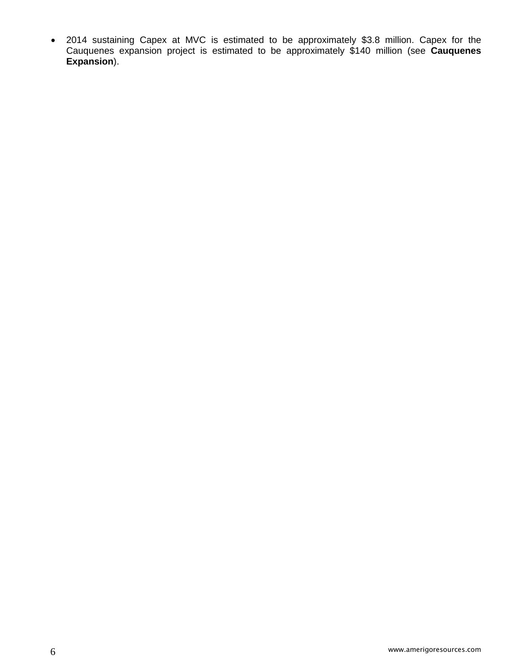2014 sustaining Capex at MVC is estimated to be approximately \$3.8 million. Capex for the Cauquenes expansion project is estimated to be approximately \$140 million (see **Cauquenes Expansion**).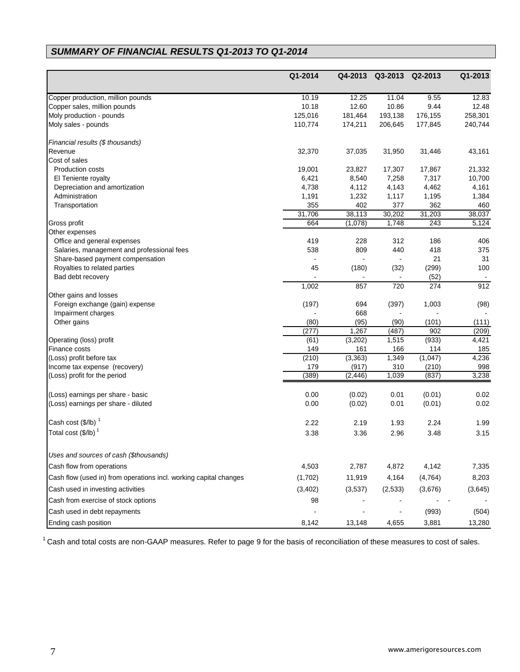# *SUMMARY OF FINANCIAL RESULTS Q1-2013 TO Q1-2014*

|                                                                   | Q1-2014  | Q4-2013  | Q3-2013                      | Q2-2013  | Q1-2013 |
|-------------------------------------------------------------------|----------|----------|------------------------------|----------|---------|
|                                                                   |          |          |                              |          |         |
| Copper production, million pounds                                 | 10.19    | 12.25    | 11.04                        | 9.55     | 12.83   |
| Copper sales, million pounds                                      | 10.18    | 12.60    | 10.86                        | 9.44     | 12.48   |
| Moly production - pounds                                          | 125,016  | 181,464  | 193,138                      | 176,155  | 258,301 |
| Moly sales - pounds                                               | 110,774  | 174,211  | 206,645                      | 177,845  | 240,744 |
| Financial results (\$ thousands)                                  |          |          |                              |          |         |
| Revenue                                                           | 32,370   | 37,035   | 31,950                       | 31,446   | 43,161  |
| Cost of sales                                                     |          |          |                              |          |         |
| <b>Production costs</b>                                           | 19,001   | 23,827   | 17,307                       | 17,867   | 21,332  |
| El Teniente royalty                                               | 6,421    | 8,540    | 7,258                        | 7,317    | 10,700  |
| Depreciation and amortization                                     | 4,738    | 4,112    | 4,143                        | 4,462    | 4,161   |
| Administration                                                    | 1,191    | 1,232    | 1,117                        | 1,195    | 1,384   |
| Transportation                                                    | 355      | 402      | 377                          | 362      | 460     |
|                                                                   | 31,706   | 38,113   | 30,202                       | 31,203   | 38,037  |
| Gross profit                                                      | 664      | (1,078)  | 1,748                        | 243      | 5,124   |
| Other expenses                                                    |          |          |                              |          |         |
| Office and general expenses                                       | 419      | 228      | 312                          | 186      | 406     |
| Salaries, management and professional fees                        | 538      | 809      | 440                          | 418      | 375     |
| Share-based payment compensation                                  |          |          |                              | 21       | 31      |
| Royalties to related parties                                      | 45       | (180)    | (32)                         | (299)    | 100     |
| Bad debt recovery                                                 |          |          |                              | (52)     |         |
|                                                                   | 1,002    | 857      | 720                          | 274      | 912     |
| Other gains and losses                                            |          |          |                              |          |         |
| Foreign exchange (gain) expense                                   | (197)    | 694      | (397)                        | 1,003    | (98)    |
| Impairment charges                                                |          | 668      |                              |          |         |
| Other gains                                                       | (80)     | (95)     | (90)                         | (101)    | (111)   |
|                                                                   | (277)    | 1,267    | (487)                        | 902      | (209)   |
| Operating (loss) profit                                           | (61)     | (3,202)  | 1,515                        | (933)    | 4,421   |
| Finance costs                                                     | 149      | 161      | 166                          | 114      | 185     |
| (Loss) profit before tax                                          | (210)    | (3, 363) | 1,349                        | (1,047)  | 4,236   |
| Income tax expense (recovery)                                     | 179      | (917)    | 310                          | (210)    | 998     |
| (Loss) profit for the period                                      | (389)    | (2, 446) | 1,039                        | (837)    | 3,238   |
| (Loss) earnings per share - basic                                 | 0.00     | (0.02)   | 0.01                         | (0.01)   | 0.02    |
| (Loss) earnings per share - diluted                               | 0.00     | (0.02)   | 0.01                         | (0.01)   | 0.02    |
| Cash cost $($/lb)$ <sup>1</sup>                                   | 2.22     | 2.19     | 1.93                         | 2.24     | 1.99    |
| Total cost $(\frac{5}{lb})^1$                                     | 3.38     | 3.36     | 2.96                         | 3.48     | 3.15    |
|                                                                   |          |          |                              |          |         |
| Uses and sources of cash (\$thousands)                            |          |          |                              |          |         |
| Cash flow from operations                                         | 4,503    | 2,787    | 4,872                        | 4,142    | 7,335   |
| Cash flow (used in) from operations incl. working capital changes | (1,702)  | 11,919   | 4,164                        | (4, 764) | 8,203   |
| Cash used in investing activities                                 | (3, 402) | (3,537)  | (2, 533)                     | (3,676)  | (3,645) |
| Cash from exercise of stock options                               | 98       |          |                              |          |         |
| Cash used in debt repayments                                      |          |          | $\qquad \qquad \blacksquare$ | (993)    | (504)   |
| Ending cash position                                              | 8,142    | 13,148   | 4,655                        | 3,881    | 13,280  |

 $1$ Cash and total costs are non-GAAP measures. Refer to page 9 for the basis of reconciliation of these measures to cost of sales.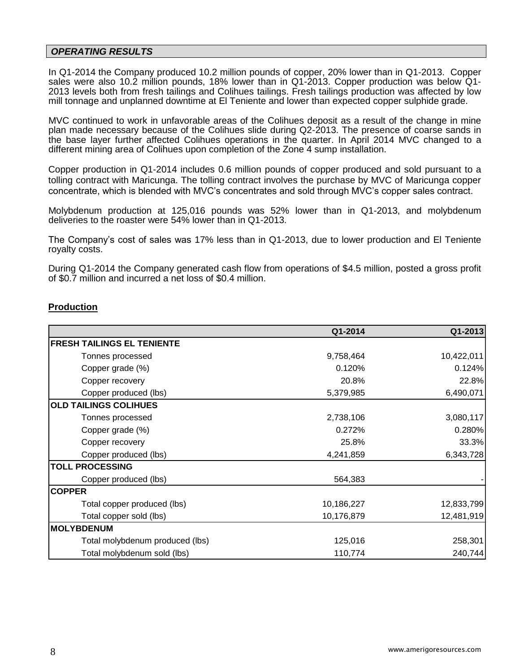#### *OPERATING RESULTS*

In Q1-2014 the Company produced 10.2 million pounds of copper, 20% lower than in Q1-2013. Copper sales were also 10.2 million pounds, 18% lower than in Q1-2013. Copper production was below Q1- 2013 levels both from fresh tailings and Colihues tailings. Fresh tailings production was affected by low mill tonnage and unplanned downtime at El Teniente and lower than expected copper sulphide grade.

MVC continued to work in unfavorable areas of the Colihues deposit as a result of the change in mine plan made necessary because of the Colihues slide during Q2-2013. The presence of coarse sands in the base layer further affected Colihues operations in the quarter. In April 2014 MVC changed to a different mining area of Colihues upon completion of the Zone 4 sump installation.

Copper production in Q1-2014 includes 0.6 million pounds of copper produced and sold pursuant to a tolling contract with Maricunga. The tolling contract involves the purchase by MVC of Maricunga copper concentrate, which is blended with MVC's concentrates and sold through MVC's copper sales contract.

Molybdenum production at 125,016 pounds was 52% lower than in Q1-2013, and molybdenum deliveries to the roaster were 54% lower than in Q1-2013.

The Company's cost of sales was 17% less than in Q1-2013, due to lower production and El Teniente royalty costs.

During Q1-2014 the Company generated cash flow from operations of \$4.5 million, posted a gross profit of \$0.7 million and incurred a net loss of \$0.4 million.

#### **Production**

|                                   | Q1-2014    | Q1-2013    |
|-----------------------------------|------------|------------|
| <b>FRESH TAILINGS EL TENIENTE</b> |            |            |
| Tonnes processed                  | 9,758,464  | 10,422,011 |
| Copper grade (%)                  | 0.120%     | 0.124%     |
| Copper recovery                   | 20.8%      | 22.8%      |
| Copper produced (lbs)             | 5,379,985  | 6,490,071  |
| <b>OLD TAILINGS COLIHUES</b>      |            |            |
| Tonnes processed                  | 2,738,106  | 3,080,117  |
| Copper grade (%)                  | 0.272%     |            |
| Copper recovery                   | 25.8%      | 33.3%      |
| Copper produced (lbs)             | 4,241,859  | 6,343,728  |
| <b>TOLL PROCESSING</b>            |            |            |
| Copper produced (lbs)             | 564,383    |            |
| <b>COPPER</b>                     |            |            |
| Total copper produced (lbs)       | 10,186,227 | 12,833,799 |
| Total copper sold (lbs)           | 10,176,879 | 12,481,919 |
| <b>MOLYBDENUM</b>                 |            |            |
| Total molybdenum produced (lbs)   | 125,016    |            |
| Total molybdenum sold (lbs)       | 110,774    | 240,744    |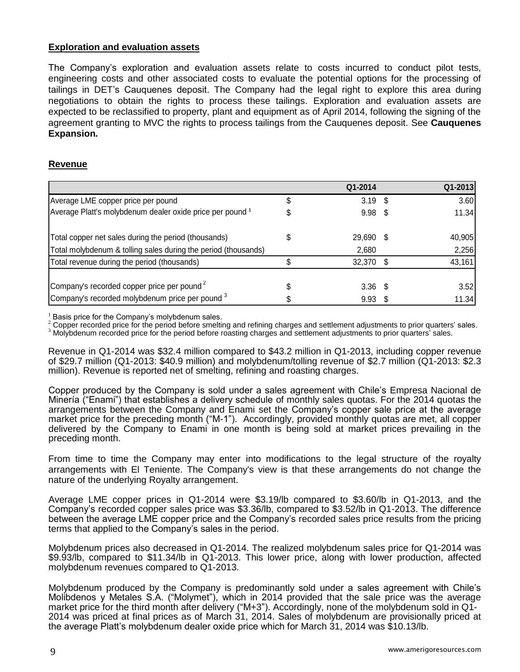### **Exploration and evaluation assets**

The Company's exploration and evaluation assets relate to costs incurred to conduct pilot tests, engineering costs and other associated costs to evaluate the potential options for the processing of tailings in DET's Cauquenes deposit. The Company had the legal right to explore this area during negotiations to obtain the rights to process these tailings. Exploration and evaluation assets are expected to be reclassified to property, plant and equipment as of April 2014, following the signing of the agreement granting to MVC the rights to process tailings from the Cauquenes deposit. See **Cauquenes Expansion***.*

## **Revenue**

|                                                                |   | Q1-2014   | Q1-2013 |
|----------------------------------------------------------------|---|-----------|---------|
| Average LME copper price per pound                             | S | $3.19$ \$ | 3.60    |
| Average Platt's molybdenum dealer oxide price per pound 1      |   | $9.98$ \$ | 11.34   |
| Total copper net sales during the period (thousands)           |   | 29,690 \$ | 40,905  |
| Total molybdenum & tolling sales during the period (thousands) |   | 2,680     | 2,256   |
| Total revenue during the period (thousands)                    |   | 32,370    | 43,161  |
| Company's recorded copper price per pound <sup>2</sup>         |   | $3.36$ \$ | 3.52    |
| Company's recorded molybdenum price per pound 3                |   | 9.93      | 11.34   |

 $1$  Basis price for the Company's molybdenum sales.

<sup>2</sup> Copper recorded price for the period before smelting and refining charges and settlement adjustments to prior quarters' sales.

 $3$  Molybdenum recorded price for the period before roasting charges and settlement adjustments to prior quarters' sales.

Revenue in Q1-2014 was \$32.4 million compared to \$43.2 million in Q1-2013, including copper revenue of \$29.7 million (Q1-2013: \$40.9 million) and molybdenum/tolling revenue of \$2.7 million (Q1-2013: \$2.3 million). Revenue is reported net of smelting, refining and roasting charges.

Copper produced by the Company is sold under a sales agreement with Chile's Empresa Nacional de Minería ("Enami") that establishes a delivery schedule of monthly sales quotas. For the 2014 quotas the arrangements between the Company and Enami set the Company's copper sale price at the average market price for the preceding month ("M-1"). Accordingly, provided monthly quotas are met, all copper delivered by the Company to Enami in one month is being sold at market prices prevailing in the preceding month.

From time to time the Company may enter into modifications to the legal structure of the royalty arrangements with El Teniente. The Company's view is that these arrangements do not change the nature of the underlying Royalty arrangement.

Average LME copper prices in Q1-2014 were \$3.19/lb compared to \$3.60/lb in Q1-2013, and the Company's recorded copper sales price was \$3.36/lb, compared to \$3.52/lb in Q1-2013. The difference between the average LME copper price and the Company's recorded sales price results from the pricing terms that applied to the Company's sales in the period.

Molybdenum prices also decreased in Q1-2014. The realized molybdenum sales price for Q1-2014 was \$9.93/lb, compared to \$11.34/lb in Q1-2013. This lower price, along with lower production, affected molybdenum revenues compared to Q1-2013.

Molybdenum produced by the Company is predominantly sold under a sales agreement with Chile's Molibdenos y Metales S.A. ("Molymet"), which in 2014 provided that the sale price was the average market price for the third month after delivery ("M+3"). Accordingly, none of the molybdenum sold in Q1-2014 was priced at final prices as of March 31, 2014. Sales of molybdenum are provisionally priced at the average Platt's molybdenum dealer oxide price which for March 31, 2014 was \$10.13/lb.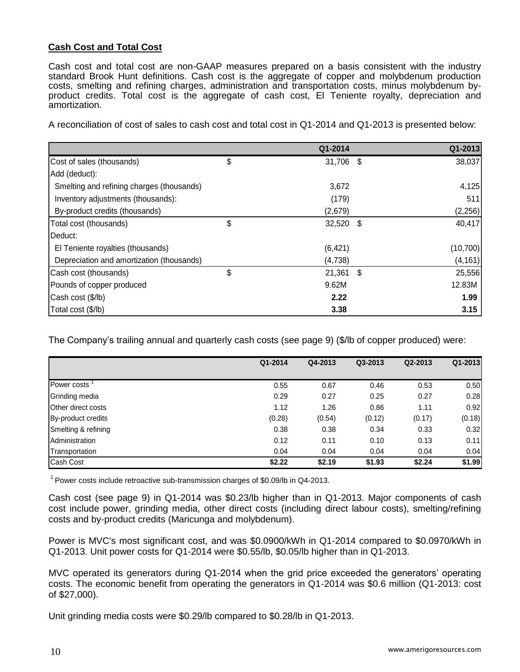## **Cash Cost and Total Cost**

Cash cost and total cost are non-GAAP measures prepared on a basis consistent with the industry standard Brook Hunt definitions. Cash cost is the aggregate of copper and molybdenum production costs, smelting and refining charges, administration and transportation costs, minus molybdenum byproduct credits. Total cost is the aggregate of cash cost, El Teniente royalty, depreciation and amortization.

A reconciliation of cost of sales to cash cost and total cost in Q1-2014 and Q1-2013 is presented below:

|                                           | Q1-2014      |      | Q1-2013   |
|-------------------------------------------|--------------|------|-----------|
| Cost of sales (thousands)                 | \$<br>31,706 | - \$ | 38,037    |
| Add (deduct):                             |              |      |           |
| Smelting and refining charges (thousands) | 3,672        |      | 4,125     |
| Inventory adjustments (thousands):        | (179)        |      | 511       |
| By-product credits (thousands)            | (2,679)      |      | (2, 256)  |
| Total cost (thousands)                    | \$<br>32,520 | - \$ | 40,417    |
| Deduct:                                   |              |      |           |
| El Teniente royalties (thousands)         | (6, 421)     |      | (10, 700) |
| Depreciation and amortization (thousands) | (4,738)      |      | (4, 161)  |
| Cash cost (thousands)                     | \$<br>21,361 | -\$  | 25,556    |
| Pounds of copper produced                 | 9.62M        |      | 12.83M    |
| Cash cost (\$/lb)                         | 2.22         |      | 1.99      |
| Total cost (\$/lb)                        | 3.38         |      | 3.15      |

The Company's trailing annual and quarterly cash costs (see page 9) (\$/lb of copper produced) were:

|                           | Q1-2014 | Q4-2013 | Q3-2013 | Q2-2013 | Q1-2013 |
|---------------------------|---------|---------|---------|---------|---------|
| Power costs               | 0.55    | 0.67    | 0.46    | 0.53    | 0.50    |
| Grinding media            | 0.29    | 0.27    | 0.25    | 0.27    | 0.28    |
| <b>Other direct costs</b> | 1.12    | 1.26    | 0.86    | 1.11    | 0.92    |
| By-product credits        | (0.28)  | (0.54)  | (0.12)  | (0.17)  | (0.18)  |
| Smelting & refining       | 0.38    | 0.38    | 0.34    | 0.33    | 0.32    |
| Administration            | 0.12    | 0.11    | 0.10    | 0.13    | 0.11    |
| Transportation            | 0.04    | 0.04    | 0.04    | 0.04    | 0.04    |
| Cash Cost                 | \$2.22  | \$2.19  | \$1.93  | \$2.24  | \$1.99  |

 $1$  Power costs include retroactive sub-transmission charges of \$0.09/lb in Q4-2013.

Cash cost (see page 9) in Q1-2014 was \$0.23/lb higher than in Q1-2013. Major components of cash cost include power, grinding media, other direct costs (including direct labour costs), smelting/refining costs and by-product credits (Maricunga and molybdenum).

Power is MVC's most significant cost, and was \$0.0900/kWh in Q1-2014 compared to \$0.0970/kWh in Q1-2013. Unit power costs for Q1-2014 were \$0.55/lb, \$0.05/lb higher than in Q1-2013.

MVC operated its generators during Q1-2014 when the grid price exceeded the generators' operating costs. The economic benefit from operating the generators in Q1-2014 was \$0.6 million (Q1-2013: cost of \$27,000).

Unit grinding media costs were \$0.29/lb compared to \$0.28/lb in Q1-2013.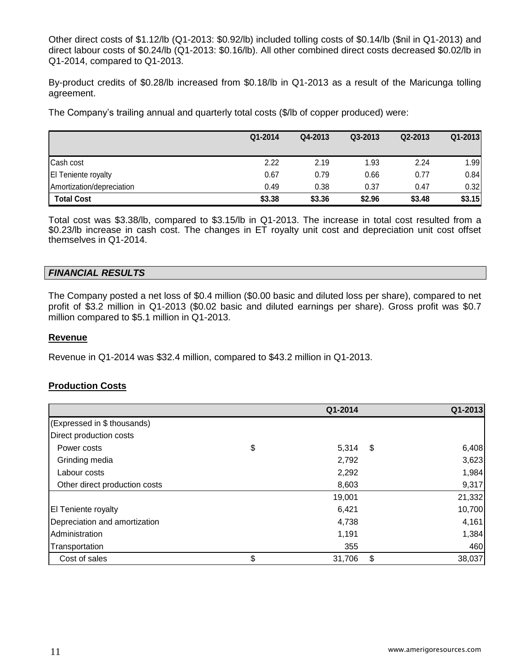Other direct costs of \$1.12/lb (Q1-2013: \$0.92/lb) included tolling costs of \$0.14/lb (\$nil in Q1-2013) and direct labour costs of \$0.24/lb (Q1-2013: \$0.16/lb). All other combined direct costs decreased \$0.02/lb in Q1-2014, compared to Q1-2013.

By-product credits of \$0.28/lb increased from \$0.18/lb in Q1-2013 as a result of the Maricunga tolling agreement.

The Company's trailing annual and quarterly total costs (\$/lb of copper produced) were:

|                           | Q1-2014 | Q4-2013 | Q3-2013 | Q2-2013 | Q1-2013 |
|---------------------------|---------|---------|---------|---------|---------|
| Cash cost                 | 2.22    | 2.19    | 1.93    | 2.24    | 1.99    |
| El Teniente royalty       | 0.67    | 0.79    | 0.66    | 0.77    | 0.84    |
| Amortization/depreciation | 0.49    | 0.38    | 0.37    | 0.47    | 0.32    |
| <b>Total Cost</b>         | \$3.38  | \$3.36  | \$2.96  | \$3.48  | \$3.15  |

Total cost was \$3.38/lb, compared to \$3.15/lb in Q1-2013. The increase in total cost resulted from a \$0.23/lb increase in cash cost. The changes in ET royalty unit cost and depreciation unit cost offset themselves in Q1-2014.

#### *FINANCIAL RESULTS*

The Company posted a net loss of \$0.4 million (\$0.00 basic and diluted loss per share), compared to net profit of \$3.2 million in Q1-2013 (\$0.02 basic and diluted earnings per share). Gross profit was \$0.7 million compared to \$5.1 million in Q1-2013.

#### **Revenue**

Revenue in Q1-2014 was \$32.4 million, compared to \$43.2 million in Q1-2013.

#### **Production Costs**

|                               | Q1-2014            | Q1-2013 |
|-------------------------------|--------------------|---------|
| (Expressed in \$ thousands)   |                    |         |
| Direct production costs       |                    |         |
| Power costs                   | \$<br>5,314<br>\$  | 6,408   |
| Grinding media                | 2,792              | 3,623   |
| Labour costs                  | 2,292              | 1,984   |
| Other direct production costs | 8,603              | 9,317   |
|                               | 19,001             | 21,332  |
| <b>El Teniente royalty</b>    | 6,421              | 10,700  |
| Depreciation and amortization | 4,738              | 4,161   |
| Administration                | 1,191              | 1,384   |
| Transportation                | 355                | 460     |
| Cost of sales                 | \$<br>31,706<br>\$ | 38,037  |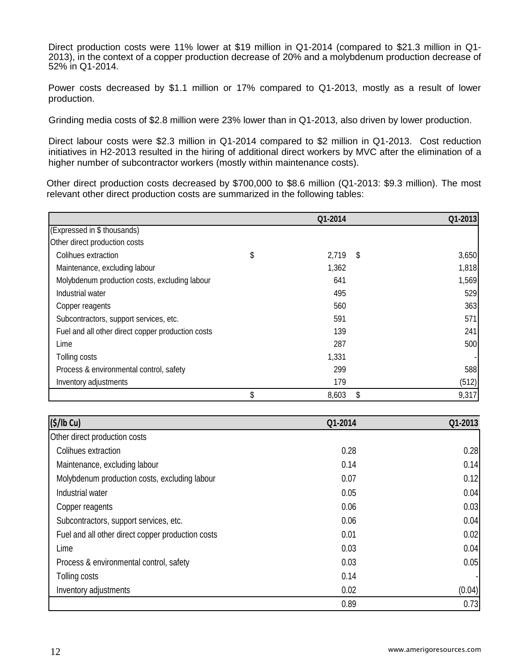Direct production costs were 11% lower at \$19 million in Q1-2014 (compared to \$21.3 million in Q1- 2013), in the context of a copper production decrease of 20% and a molybdenum production decrease of 52% in Q1-2014.

Power costs decreased by \$1.1 million or 17% compared to Q1-2013, mostly as a result of lower production.

Grinding media costs of \$2.8 million were 23% lower than in Q1-2013, also driven by lower production.

Direct labour costs were \$2.3 million in Q1-2014 compared to \$2 million in Q1-2013. Cost reduction initiatives in H2-2013 resulted in the hiring of additional direct workers by MVC after the elimination of a higher number of subcontractor workers (mostly within maintenance costs).

Other direct production costs decreased by \$700,000 to \$8.6 million (Q1-2013: \$9.3 million). The most relevant other direct production costs are summarized in the following tables:

|                                                   | Q1-2014     |    | Q1-2013 |
|---------------------------------------------------|-------------|----|---------|
| (Expressed in \$ thousands)                       |             |    |         |
| Other direct production costs                     |             |    |         |
| Colihues extraction                               | \$<br>2,719 | -S | 3,650   |
| Maintenance, excluding labour                     | 1,362       |    | 1,818   |
| Molybdenum production costs, excluding labour     | 641         |    | 1,569   |
| Industrial water                                  | 495         |    | 529     |
| Copper reagents                                   | 560         |    | 363     |
| Subcontractors, support services, etc.            | 591         |    | 571     |
| Fuel and all other direct copper production costs | 139         |    | 241     |
| Lime                                              | 287         |    | 500     |
| Tolling costs                                     | 1,331       |    |         |
| Process & environmental control, safety           | 299         |    | 588     |
| Inventory adjustments                             | 179         |    | (512)   |
|                                                   | \$<br>8,603 | \$ | 9,317   |

| (S/lb Cu)                                         | Q1-2014 | Q1-2013 |
|---------------------------------------------------|---------|---------|
| Other direct production costs                     |         |         |
| Colihues extraction                               | 0.28    | 0.28    |
| Maintenance, excluding labour                     | 0.14    | 0.14    |
| Molybdenum production costs, excluding labour     | 0.07    | 0.12    |
| Industrial water                                  | 0.05    | 0.04    |
| Copper reagents                                   | 0.06    | 0.03    |
| Subcontractors, support services, etc.            | 0.06    | 0.04    |
| Fuel and all other direct copper production costs | 0.01    | 0.02    |
| Lime                                              | 0.03    | 0.04    |
| Process & environmental control, safety           | 0.03    | 0.05    |
| Tolling costs                                     | 0.14    |         |
| Inventory adjustments                             | 0.02    | (0.04)  |
|                                                   | 0.89    | 0.73    |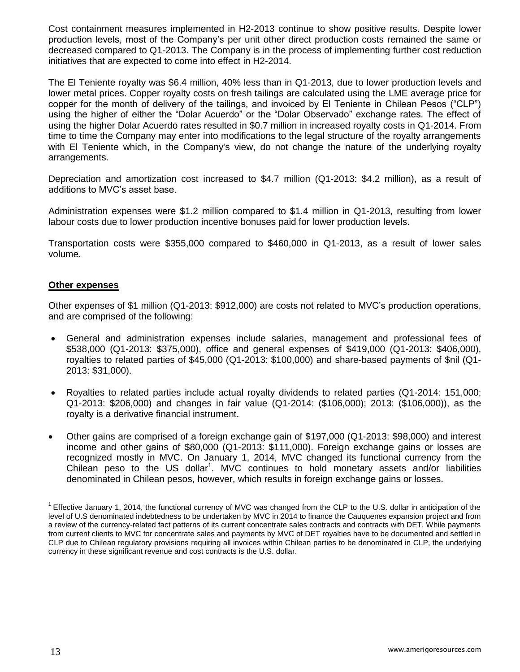Cost containment measures implemented in H2-2013 continue to show positive results. Despite lower production levels, most of the Company's per unit other direct production costs remained the same or decreased compared to Q1-2013. The Company is in the process of implementing further cost reduction initiatives that are expected to come into effect in H2-2014.

The El Teniente royalty was \$6.4 million, 40% less than in Q1-2013, due to lower production levels and lower metal prices. Copper royalty costs on fresh tailings are calculated using the LME average price for copper for the month of delivery of the tailings, and invoiced by El Teniente in Chilean Pesos ("CLP") using the higher of either the "Dolar Acuerdo" or the "Dolar Observado" exchange rates. The effect of using the higher Dolar Acuerdo rates resulted in \$0.7 million in increased royalty costs in Q1-2014. From time to time the Company may enter into modifications to the legal structure of the royalty arrangements with El Teniente which, in the Company's view, do not change the nature of the underlying royalty arrangements.

Depreciation and amortization cost increased to \$4.7 million (Q1-2013: \$4.2 million), as a result of additions to MVC's asset base.

Administration expenses were \$1.2 million compared to \$1.4 million in Q1-2013, resulting from lower labour costs due to lower production incentive bonuses paid for lower production levels.

Transportation costs were \$355,000 compared to \$460,000 in Q1-2013, as a result of lower sales volume.

#### **Other expenses**

Other expenses of \$1 million (Q1-2013: \$912,000) are costs not related to MVC's production operations, and are comprised of the following:

- General and administration expenses include salaries, management and professional fees of \$538,000 (Q1-2013: \$375,000), office and general expenses of \$419,000 (Q1-2013: \$406,000), royalties to related parties of \$45,000 (Q1-2013: \$100,000) and share-based payments of \$nil (Q1- 2013: \$31,000).
- Royalties to related parties include actual royalty dividends to related parties (Q1-2014: 151,000; Q1-2013: \$206,000) and changes in fair value (Q1-2014: (\$106,000); 2013: (\$106,000)), as the royalty is a derivative financial instrument.
- Other gains are comprised of a foreign exchange gain of \$197,000 (Q1-2013: \$98,000) and interest income and other gains of \$80,000 (Q1-2013: \$111,000). Foreign exchange gains or losses are recognized mostly in MVC. On January 1, 2014, MVC changed its functional currency from the Chilean peso to the US dollar<sup>1</sup>. MVC continues to hold monetary assets and/or liabilities denominated in Chilean pesos, however, which results in foreign exchange gains or losses.

<sup>&</sup>lt;sup>1</sup> Effective January 1, 2014, the functional currency of MVC was changed from the CLP to the U.S. dollar in anticipation of the level of U.S denominated indebtedness to be undertaken by MVC in 2014 to finance the Cauquenes expansion project and from a review of the currency-related fact patterns of its current concentrate sales contracts and contracts with DET. While payments from current clients to MVC for concentrate sales and payments by MVC of DET royalties have to be documented and settled in CLP due to Chilean regulatory provisions requiring all invoices within Chilean parties to be denominated in CLP, the underlying currency in these significant revenue and cost contracts is the U.S. dollar.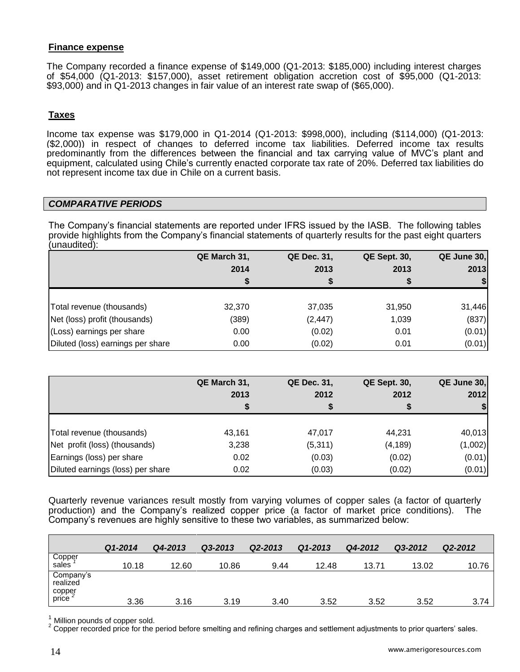#### **Finance expense**

The Company recorded a finance expense of \$149,000 (Q1-2013: \$185,000) including interest charges of \$54,000 (Q1-2013: \$157,000), asset retirement obligation accretion cost of \$95,000 (Q1-2013: \$93,000) and in Q1-2013 changes in fair value of an interest rate swap of (\$65,000).

## **Taxes**

Income tax expense was \$179,000 in Q1-2014 (Q1-2013: \$998,000), including (\$114,000) (Q1-2013: (\$2,000)) in respect of changes to deferred income tax liabilities. Deferred income tax results predominantly from the differences between the financial and tax carrying value of MVC's plant and equipment, calculated using Chile's currently enacted corporate tax rate of 20%. Deferred tax liabilities do not represent income tax due in Chile on a current basis.

## *COMPARATIVE PERIODS*

The Company's financial statements are reported under IFRS issued by the IASB. The following tables provide highlights from the Company's financial statements of quarterly results for the past eight quarters (unaudited):

|                                   | QE March 31, | <b>QE Dec. 31,</b> | <b>QE Sept. 30,</b> | QE June 30, |
|-----------------------------------|--------------|--------------------|---------------------|-------------|
|                                   | 2014         | 2013               | 2013                | 2013        |
|                                   | S            |                    |                     |             |
| Total revenue (thousands)         | 32,370       | 37,035             | 31,950              | 31,446      |
| Net (loss) profit (thousands)     | (389)        | (2, 447)           | 1,039               | (837)       |
| (Loss) earnings per share         | 0.00         | (0.02)             | 0.01                | (0.01)      |
| Diluted (loss) earnings per share | 0.00         | (0.02)             | 0.01                | (0.01)      |

|                                   | QE March 31,<br>2013 | <b>QE Dec. 31,</b><br>2012 | <b>QE Sept. 30,</b><br>2012 | QE June 30,<br>2012 |
|-----------------------------------|----------------------|----------------------------|-----------------------------|---------------------|
| Total revenue (thousands)         | 43,161               | 47,017                     | 44.231                      | 40,013              |
| Net profit (loss) (thousands)     | 3,238                | (5, 311)                   | (4, 189)                    | (1,002)             |
| Earnings (loss) per share         | 0.02                 | (0.03)                     | (0.02)                      | (0.01)              |
| Diluted earnings (loss) per share | 0.02                 | (0.03)                     | (0.02)                      | (0.01)              |

Quarterly revenue variances result mostly from varying volumes of copper sales (a factor of quarterly production) and the Company's realized copper price (a factor of market price conditions). The Company's revenues are highly sensitive to these two variables, as summarized below:

|                                          | Q1-2014 | Q4-2013 | Q3-2013 | Q2-2013 | Q1-2013 | Q4-2012 | Q3-2012 | Q2-2012 |
|------------------------------------------|---------|---------|---------|---------|---------|---------|---------|---------|
| Copper sales $1$                         | 10.18   | 12.60   | 10.86   | 9.44    | 12.48   | 13.71   | 13.02   | 10.76   |
| Company's<br>realized<br>cobbel<br>price | 3.36    | 3.16    | 3.19    | 3.40    | 3.52    | 3.52    | 3.52    | 3.74    |

 $1$  Million pounds of copper sold.

<sup>2</sup> Copper recorded price for the period before smelting and refining charges and settlement adjustments to prior quarters' sales.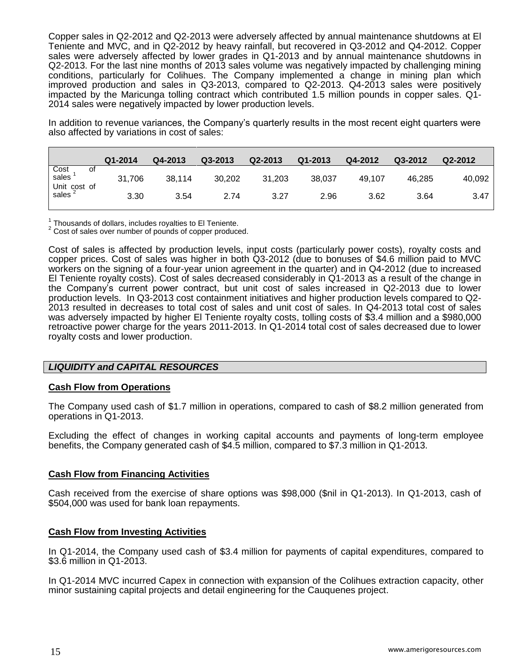Copper sales in Q2-2012 and Q2-2013 were adversely affected by annual maintenance shutdowns at El Teniente and MVC, and in Q2-2012 by heavy rainfall, but recovered in Q3-2012 and Q4-2012. Copper sales were adversely affected by lower grades in Q1-2013 and by annual maintenance shutdowns in Q2-2013. For the last nine months of 2013 sales volume was negatively impacted by challenging mining conditions, particularly for Colihues. The Company implemented a change in mining plan which improved production and sales in Q3-2013, compared to Q2-2013. Q4-2013 sales were positively impacted by the Maricunga tolling contract which contributed 1.5 million pounds in copper sales. Q1- 2014 sales were negatively impacted by lower production levels.

In addition to revenue variances, the Company's quarterly results in the most recent eight quarters were also affected by variations in cost of sales:

|                                    | Q1-2014 | Q4-2013 | Q3-2013 | Q2-2013 | Q1-2013 | Q4-2012 | Q3-2012 | Q2-2012 |
|------------------------------------|---------|---------|---------|---------|---------|---------|---------|---------|
| Cost<br>sales<br>οt                | 31,706  | 38,114  | 30.202  | 31.203  | 38.037  | 49.107  | 46.285  | 40,092  |
| Unit cost of<br>sales <sup>2</sup> | 3.30    | 3.54    | 2.74    | 3.27    | 2.96    | 3.62    | 3.64    | 3.47    |

 $\frac{1}{6}$  Thousands of dollars, includes royalties to El Teniente.

<sup>2</sup> Cost of sales over number of pounds of copper produced.

Cost of sales is affected by production levels, input costs (particularly power costs), royalty costs and copper prices. Cost of sales was higher in both Q3-2012 (due to bonuses of \$4.6 million paid to MVC workers on the signing of a four-year union agreement in the quarter) and in Q4-2012 (due to increased El Teniente royalty costs). Cost of sales decreased considerably in Q1-2013 as a result of the change in the Company's current power contract, but unit cost of sales increased in Q2-2013 due to lower production levels. In Q3-2013 cost containment initiatives and higher production levels compared to Q2- 2013 resulted in decreases to total cost of sales and unit cost of sales. In Q4-2013 total cost of sales was adversely impacted by higher El Teniente royalty costs, tolling costs of \$3.4 million and a \$980,000 retroactive power charge for the years 2011-2013. In Q1-2014 total cost of sales decreased due to lower royalty costs and lower production.

## *LIQUIDITY and CAPITAL RESOURCES*

#### **Cash Flow from Operations**

The Company used cash of \$1.7 million in operations, compared to cash of \$8.2 million generated from operations in Q1-2013.

Excluding the effect of changes in working capital accounts and payments of long-term employee benefits, the Company generated cash of \$4.5 million, compared to \$7.3 million in Q1-2013.

#### **Cash Flow from Financing Activities**

Cash received from the exercise of share options was \$98,000 (\$nil in Q1-2013). In Q1-2013, cash of \$504,000 was used for bank loan repayments.

#### **Cash Flow from Investing Activities**

In Q1-2014, the Company used cash of \$3.4 million for payments of capital expenditures, compared to \$3.6 million in Q1-2013.

In Q1-2014 MVC incurred Capex in connection with expansion of the Colihues extraction capacity, other minor sustaining capital projects and detail engineering for the Cauquenes project.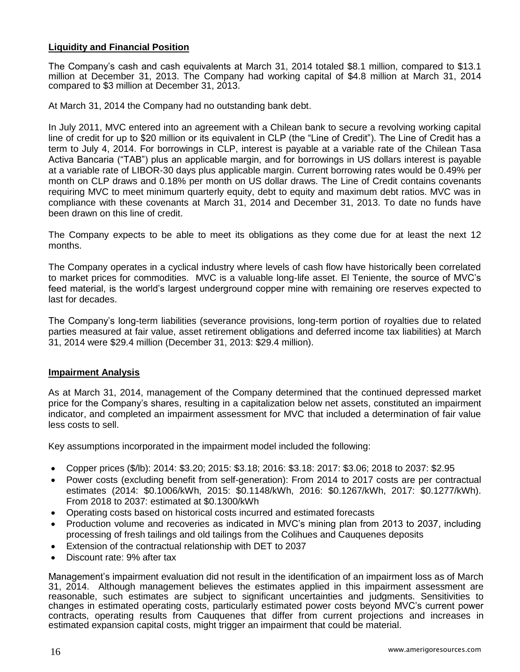## **Liquidity and Financial Position**

The Company's cash and cash equivalents at March 31, 2014 totaled \$8.1 million, compared to \$13.1 million at December 31, 2013. The Company had working capital of \$4.8 million at March 31, 2014 compared to \$3 million at December 31, 2013.

At March 31, 2014 the Company had no outstanding bank debt.

In July 2011, MVC entered into an agreement with a Chilean bank to secure a revolving working capital line of credit for up to \$20 million or its equivalent in CLP (the "Line of Credit"). The Line of Credit has a term to July 4, 2014. For borrowings in CLP, interest is payable at a variable rate of the Chilean Tasa Activa Bancaria ("TAB") plus an applicable margin, and for borrowings in US dollars interest is payable at a variable rate of LIBOR-30 days plus applicable margin. Current borrowing rates would be 0.49% per month on CLP draws and 0.18% per month on US dollar draws. The Line of Credit contains covenants requiring MVC to meet minimum quarterly equity, debt to equity and maximum debt ratios. MVC was in compliance with these covenants at March 31, 2014 and December 31, 2013. To date no funds have been drawn on this line of credit.

The Company expects to be able to meet its obligations as they come due for at least the next 12 months.

The Company operates in a cyclical industry where levels of cash flow have historically been correlated to market prices for commodities. MVC is a valuable long-life asset. El Teniente, the source of MVC's feed material, is the world's largest underground copper mine with remaining ore reserves expected to last for decades.

The Company's long-term liabilities (severance provisions, long-term portion of royalties due to related parties measured at fair value, asset retirement obligations and deferred income tax liabilities) at March 31, 2014 were \$29.4 million (December 31, 2013: \$29.4 million).

#### **Impairment Analysis**

As at March 31, 2014, management of the Company determined that the continued depressed market price for the Company's shares, resulting in a capitalization below net assets, constituted an impairment indicator, and completed an impairment assessment for MVC that included a determination of fair value less costs to sell.

Key assumptions incorporated in the impairment model included the following:

- Copper prices (\$/lb): 2014: \$3.20; 2015: \$3.18; 2016: \$3.18: 2017: \$3.06; 2018 to 2037: \$2.95
- Power costs (excluding benefit from self-generation): From 2014 to 2017 costs are per contractual estimates (2014: \$0.1006/kWh, 2015: \$0.1148/kWh, 2016: \$0.1267/kWh, 2017: \$0.1277/kWh). From 2018 to 2037: estimated at \$0.1300/kWh
- Operating costs based on historical costs incurred and estimated forecasts
- Production volume and recoveries as indicated in MVC's mining plan from 2013 to 2037, including processing of fresh tailings and old tailings from the Colihues and Cauquenes deposits
- Extension of the contractual relationship with DET to 2037
- Discount rate: 9% after tax

Management's impairment evaluation did not result in the identification of an impairment loss as of March 31, 2014. Although management believes the estimates applied in this impairment assessment are reasonable, such estimates are subject to significant uncertainties and judgments. Sensitivities to changes in estimated operating costs, particularly estimated power costs beyond MVC's current power contracts, operating results from Cauquenes that differ from current projections and increases in estimated expansion capital costs, might trigger an impairment that could be material.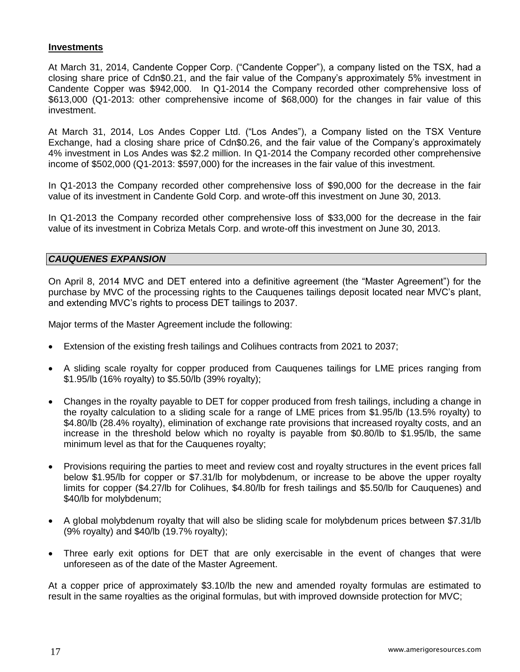#### **Investments**

At March 31, 2014, Candente Copper Corp. ("Candente Copper"), a company listed on the TSX, had a closing share price of Cdn\$0.21, and the fair value of the Company's approximately 5% investment in Candente Copper was \$942,000. In Q1-2014 the Company recorded other comprehensive loss of \$613,000 (Q1-2013: other comprehensive income of \$68,000) for the changes in fair value of this investment.

At March 31, 2014, Los Andes Copper Ltd. ("Los Andes"), a Company listed on the TSX Venture Exchange, had a closing share price of Cdn\$0.26, and the fair value of the Company's approximately 4% investment in Los Andes was \$2.2 million. In Q1-2014 the Company recorded other comprehensive income of \$502,000 (Q1-2013: \$597,000) for the increases in the fair value of this investment.

In Q1-2013 the Company recorded other comprehensive loss of \$90,000 for the decrease in the fair value of its investment in Candente Gold Corp. and wrote-off this investment on June 30, 2013.

In Q1-2013 the Company recorded other comprehensive loss of \$33,000 for the decrease in the fair value of its investment in Cobriza Metals Corp. and wrote-off this investment on June 30, 2013.

### *CAUQUENES EXPANSION*

On April 8, 2014 MVC and DET entered into a definitive agreement (the "Master Agreement") for the purchase by MVC of the processing rights to the Cauquenes tailings deposit located near MVC's plant, and extending MVC's rights to process DET tailings to 2037.

Major terms of the Master Agreement include the following:

- Extension of the existing fresh tailings and Colihues contracts from 2021 to 2037;
- A sliding scale royalty for copper produced from Cauquenes tailings for LME prices ranging from \$1.95/lb (16% royalty) to \$5.50/lb (39% royalty);
- Changes in the royalty payable to DET for copper produced from fresh tailings, including a change in the royalty calculation to a sliding scale for a range of LME prices from \$1.95/lb (13.5% royalty) to \$4.80/lb (28.4% royalty), elimination of exchange rate provisions that increased royalty costs, and an increase in the threshold below which no royalty is payable from \$0.80/lb to \$1.95/lb, the same minimum level as that for the Cauquenes royalty;
- Provisions requiring the parties to meet and review cost and royalty structures in the event prices fall below \$1.95/lb for copper or \$7.31/lb for molybdenum, or increase to be above the upper royalty limits for copper (\$4.27/lb for Colihues, \$4.80/lb for fresh tailings and \$5.50/lb for Cauquenes) and \$40/lb for molybdenum;
- A global molybdenum royalty that will also be sliding scale for molybdenum prices between \$7.31/lb (9% royalty) and \$40/lb (19.7% royalty);
- Three early exit options for DET that are only exercisable in the event of changes that were unforeseen as of the date of the Master Agreement.

At a copper price of approximately \$3.10/lb the new and amended royalty formulas are estimated to result in the same royalties as the original formulas, but with improved downside protection for MVC;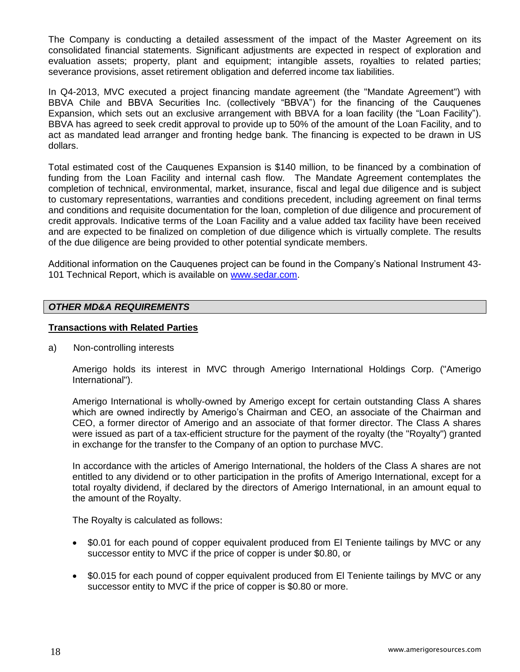The Company is conducting a detailed assessment of the impact of the Master Agreement on its consolidated financial statements. Significant adjustments are expected in respect of exploration and evaluation assets; property, plant and equipment; intangible assets, royalties to related parties; severance provisions, asset retirement obligation and deferred income tax liabilities.

In Q4-2013, MVC executed a project financing mandate agreement (the "Mandate Agreement") with BBVA Chile and BBVA Securities Inc. (collectively "BBVA") for the financing of the Cauquenes Expansion, which sets out an exclusive arrangement with BBVA for a loan facility (the "Loan Facility"). BBVA has agreed to seek credit approval to provide up to 50% of the amount of the Loan Facility, and to act as mandated lead arranger and fronting hedge bank. The financing is expected to be drawn in US dollars.

Total estimated cost of the Cauquenes Expansion is \$140 million, to be financed by a combination of funding from the Loan Facility and internal cash flow. The Mandate Agreement contemplates the completion of technical, environmental, market, insurance, fiscal and legal due diligence and is subject to customary representations, warranties and conditions precedent, including agreement on final terms and conditions and requisite documentation for the loan, completion of due diligence and procurement of credit approvals. Indicative terms of the Loan Facility and a value added tax facility have been received and are expected to be finalized on completion of due diligence which is virtually complete. The results of the due diligence are being provided to other potential syndicate members.

Additional information on the Cauquenes project can be found in the Company's National Instrument 43- 101 Technical Report, which is available on [www.sedar.com.](http://www.sedar.com/)

### *OTHER MD&A REQUIREMENTS*

#### **Transactions with Related Parties**

a) Non-controlling interests

Amerigo holds its interest in MVC through Amerigo International Holdings Corp. ("Amerigo International").

Amerigo International is wholly-owned by Amerigo except for certain outstanding Class A shares which are owned indirectly by Amerigo's Chairman and CEO, an associate of the Chairman and CEO, a former director of Amerigo and an associate of that former director. The Class A shares were issued as part of a tax-efficient structure for the payment of the royalty (the "Royalty") granted in exchange for the transfer to the Company of an option to purchase MVC.

In accordance with the articles of Amerigo International, the holders of the Class A shares are not entitled to any dividend or to other participation in the profits of Amerigo International, except for a total royalty dividend, if declared by the directors of Amerigo International, in an amount equal to the amount of the Royalty.

The Royalty is calculated as follows:

- \$0.01 for each pound of copper equivalent produced from El Teniente tailings by MVC or any successor entity to MVC if the price of copper is under \$0.80, or
- \$0.015 for each pound of copper equivalent produced from El Teniente tailings by MVC or any successor entity to MVC if the price of copper is \$0.80 or more.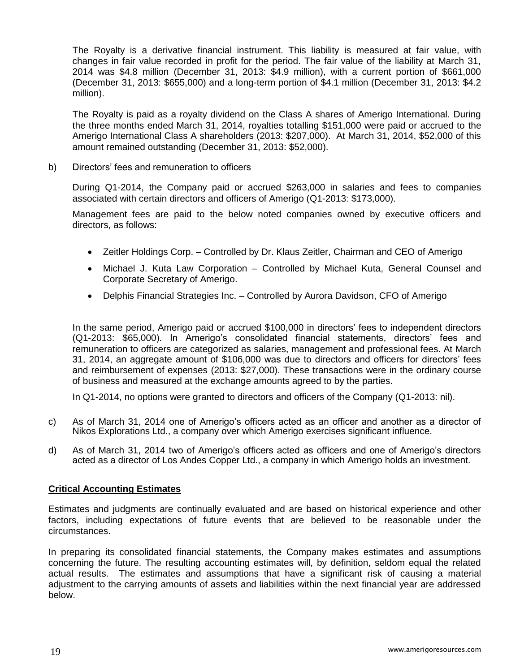The Royalty is a derivative financial instrument. This liability is measured at fair value, with changes in fair value recorded in profit for the period. The fair value of the liability at March 31, 2014 was \$4.8 million (December 31, 2013: \$4.9 million), with a current portion of \$661,000 (December 31, 2013: \$655,000) and a long-term portion of \$4.1 million (December 31, 2013: \$4.2 million).

The Royalty is paid as a royalty dividend on the Class A shares of Amerigo International. During the three months ended March 31, 2014, royalties totalling \$151,000 were paid or accrued to the Amerigo International Class A shareholders (2013: \$207,000). At March 31, 2014, \$52,000 of this amount remained outstanding (December 31, 2013: \$52,000).

b) Directors' fees and remuneration to officers

During Q1-2014, the Company paid or accrued \$263,000 in salaries and fees to companies associated with certain directors and officers of Amerigo (Q1-2013: \$173,000).

Management fees are paid to the below noted companies owned by executive officers and directors, as follows:

- Zeitler Holdings Corp. Controlled by Dr. Klaus Zeitler, Chairman and CEO of Amerigo
- Michael J. Kuta Law Corporation Controlled by Michael Kuta, General Counsel and Corporate Secretary of Amerigo.
- Delphis Financial Strategies Inc. Controlled by Aurora Davidson, CFO of Amerigo

In the same period, Amerigo paid or accrued \$100,000 in directors' fees to independent directors (Q1-2013: \$65,000). In Amerigo's consolidated financial statements, directors' fees and remuneration to officers are categorized as salaries, management and professional fees. At March 31, 2014, an aggregate amount of \$106,000 was due to directors and officers for directors' fees and reimbursement of expenses (2013: \$27,000). These transactions were in the ordinary course of business and measured at the exchange amounts agreed to by the parties.

In Q1-2014, no options were granted to directors and officers of the Company (Q1-2013: nil).

- c) As of March 31, 2014 one of Amerigo's officers acted as an officer and another as a director of Nikos Explorations Ltd., a company over which Amerigo exercises significant influence.
- d) As of March 31, 2014 two of Amerigo's officers acted as officers and one of Amerigo's directors acted as a director of Los Andes Copper Ltd., a company in which Amerigo holds an investment.

## **Critical Accounting Estimates**

Estimates and judgments are continually evaluated and are based on historical experience and other factors, including expectations of future events that are believed to be reasonable under the circumstances.

In preparing its consolidated financial statements, the Company makes estimates and assumptions concerning the future. The resulting accounting estimates will, by definition, seldom equal the related actual results. The estimates and assumptions that have a significant risk of causing a material adjustment to the carrying amounts of assets and liabilities within the next financial year are addressed below.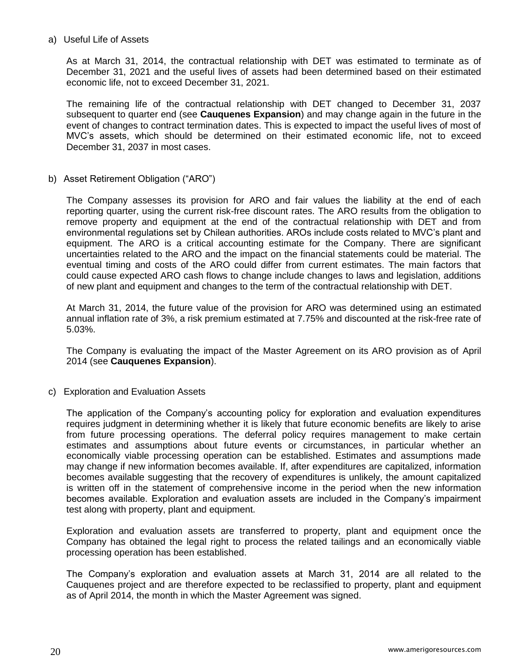#### a) Useful Life of Assets

As at March 31, 2014, the contractual relationship with DET was estimated to terminate as of December 31, 2021 and the useful lives of assets had been determined based on their estimated economic life, not to exceed December 31, 2021.

The remaining life of the contractual relationship with DET changed to December 31, 2037 subsequent to quarter end (see **Cauquenes Expansion**) and may change again in the future in the event of changes to contract termination dates. This is expected to impact the useful lives of most of MVC's assets, which should be determined on their estimated economic life, not to exceed December 31, 2037 in most cases.

b) Asset Retirement Obligation ("ARO")

The Company assesses its provision for ARO and fair values the liability at the end of each reporting quarter, using the current risk-free discount rates. The ARO results from the obligation to remove property and equipment at the end of the contractual relationship with DET and from environmental regulations set by Chilean authorities. AROs include costs related to MVC's plant and equipment. The ARO is a critical accounting estimate for the Company. There are significant uncertainties related to the ARO and the impact on the financial statements could be material. The eventual timing and costs of the ARO could differ from current estimates. The main factors that could cause expected ARO cash flows to change include changes to laws and legislation, additions of new plant and equipment and changes to the term of the contractual relationship with DET.

At March 31, 2014, the future value of the provision for ARO was determined using an estimated annual inflation rate of 3%, a risk premium estimated at 7.75% and discounted at the risk-free rate of 5.03%.

The Company is evaluating the impact of the Master Agreement on its ARO provision as of April 2014 (see **Cauquenes Expansion**).

c) Exploration and Evaluation Assets

The application of the Company's accounting policy for exploration and evaluation expenditures requires judgment in determining whether it is likely that future economic benefits are likely to arise from future processing operations. The deferral policy requires management to make certain estimates and assumptions about future events or circumstances, in particular whether an economically viable processing operation can be established. Estimates and assumptions made may change if new information becomes available. If, after expenditures are capitalized, information becomes available suggesting that the recovery of expenditures is unlikely, the amount capitalized is written off in the statement of comprehensive income in the period when the new information becomes available. Exploration and evaluation assets are included in the Company's impairment test along with property, plant and equipment.

Exploration and evaluation assets are transferred to property, plant and equipment once the Company has obtained the legal right to process the related tailings and an economically viable processing operation has been established.

The Company's exploration and evaluation assets at March 31, 2014 are all related to the Cauquenes project and are therefore expected to be reclassified to property, plant and equipment as of April 2014, the month in which the Master Agreement was signed.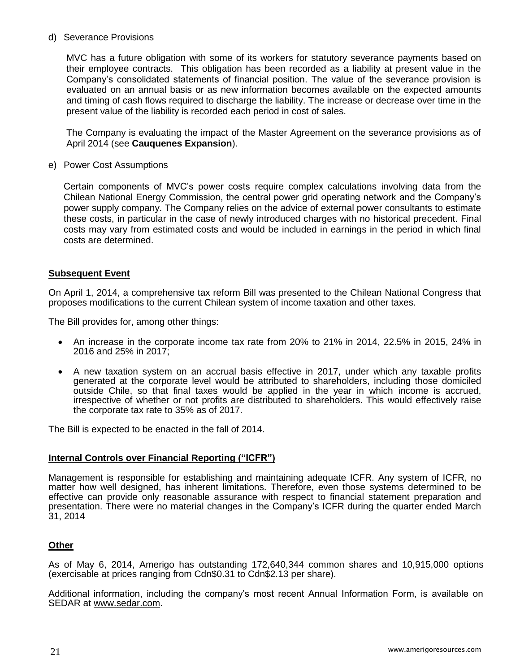## d) Severance Provisions

MVC has a future obligation with some of its workers for statutory severance payments based on their employee contracts. This obligation has been recorded as a liability at present value in the Company's consolidated statements of financial position. The value of the severance provision is evaluated on an annual basis or as new information becomes available on the expected amounts and timing of cash flows required to discharge the liability. The increase or decrease over time in the present value of the liability is recorded each period in cost of sales.

The Company is evaluating the impact of the Master Agreement on the severance provisions as of April 2014 (see **Cauquenes Expansion**).

e) Power Cost Assumptions

Certain components of MVC's power costs require complex calculations involving data from the Chilean National Energy Commission, the central power grid operating network and the Company's power supply company. The Company relies on the advice of external power consultants to estimate these costs, in particular in the case of newly introduced charges with no historical precedent. Final costs may vary from estimated costs and would be included in earnings in the period in which final costs are determined.

### **Subsequent Event**

On April 1, 2014, a comprehensive tax reform Bill was presented to the Chilean National Congress that proposes modifications to the current Chilean system of income taxation and other taxes.

The Bill provides for, among other things:

- An increase in the corporate income tax rate from 20% to 21% in 2014, 22.5% in 2015, 24% in 2016 and 25% in 2017;
- A new taxation system on an accrual basis effective in 2017, under which any taxable profits generated at the corporate level would be attributed to shareholders, including those domiciled outside Chile, so that final taxes would be applied in the year in which income is accrued, irrespective of whether or not profits are distributed to shareholders. This would effectively raise the corporate tax rate to 35% as of 2017.

The Bill is expected to be enacted in the fall of 2014.

#### **Internal Controls over Financial Reporting ("ICFR")**

Management is responsible for establishing and maintaining adequate ICFR. Any system of ICFR, no matter how well designed, has inherent limitations. Therefore, even those systems determined to be effective can provide only reasonable assurance with respect to financial statement preparation and presentation. There were no material changes in the Company's ICFR during the quarter ended March 31, 2014

#### **Other**

As of May 6, 2014, Amerigo has outstanding 172,640,344 common shares and 10,915,000 options (exercisable at prices ranging from Cdn\$0.31 to Cdn\$2.13 per share).

Additional information, including the company's most recent Annual Information Form, is available on SEDAR at [www.sedar.com.](http://www.sedar.com/)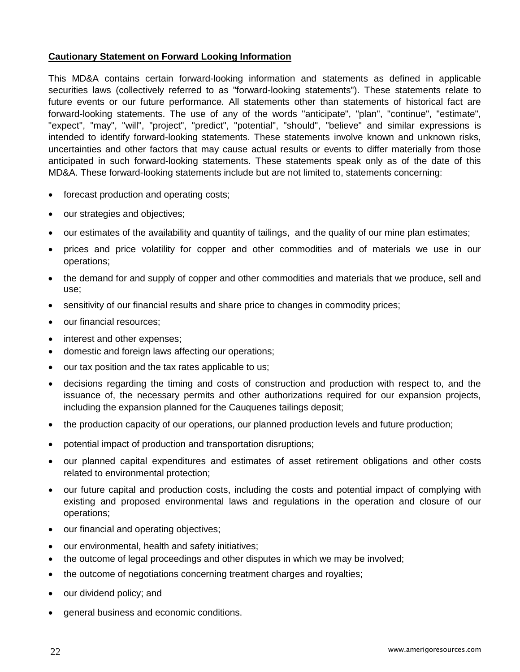## **Cautionary Statement on Forward Looking Information**

This MD&A contains certain forward-looking information and statements as defined in applicable securities laws (collectively referred to as "forward-looking statements"). These statements relate to future events or our future performance. All statements other than statements of historical fact are forward-looking statements. The use of any of the words "anticipate", "plan", "continue", "estimate", "expect", "may", "will", "project", "predict", "potential", "should", "believe" and similar expressions is intended to identify forward-looking statements. These statements involve known and unknown risks, uncertainties and other factors that may cause actual results or events to differ materially from those anticipated in such forward-looking statements. These statements speak only as of the date of this MD&A. These forward-looking statements include but are not limited to, statements concerning:

- forecast production and operating costs;
- our strategies and objectives;
- our estimates of the availability and quantity of tailings, and the quality of our mine plan estimates;
- prices and price volatility for copper and other commodities and of materials we use in our operations;
- the demand for and supply of copper and other commodities and materials that we produce, sell and use;
- sensitivity of our financial results and share price to changes in commodity prices;
- our financial resources;
- interest and other expenses:
- domestic and foreign laws affecting our operations;
- our tax position and the tax rates applicable to us;
- decisions regarding the timing and costs of construction and production with respect to, and the issuance of, the necessary permits and other authorizations required for our expansion projects, including the expansion planned for the Cauquenes tailings deposit;
- the production capacity of our operations, our planned production levels and future production;
- potential impact of production and transportation disruptions;
- our planned capital expenditures and estimates of asset retirement obligations and other costs related to environmental protection;
- our future capital and production costs, including the costs and potential impact of complying with existing and proposed environmental laws and regulations in the operation and closure of our operations;
- our financial and operating objectives;
- our environmental, health and safety initiatives;
- the outcome of legal proceedings and other disputes in which we may be involved;
- the outcome of negotiations concerning treatment charges and royalties;
- our dividend policy; and
- general business and economic conditions.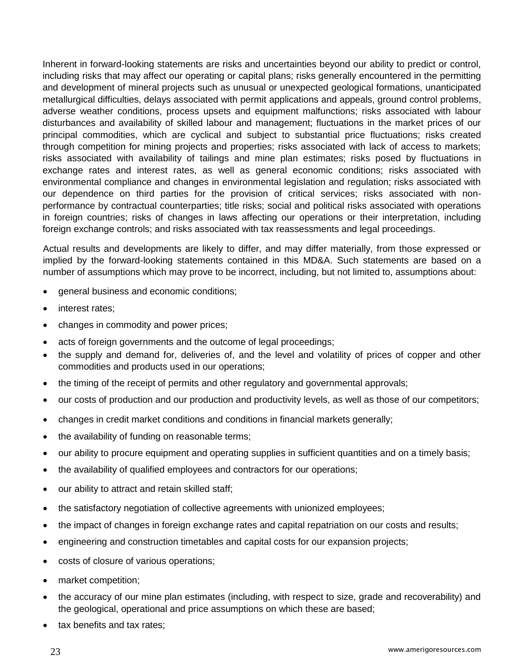Inherent in forward-looking statements are risks and uncertainties beyond our ability to predict or control, including risks that may affect our operating or capital plans; risks generally encountered in the permitting and development of mineral projects such as unusual or unexpected geological formations, unanticipated metallurgical difficulties, delays associated with permit applications and appeals, ground control problems, adverse weather conditions, process upsets and equipment malfunctions; risks associated with labour disturbances and availability of skilled labour and management; fluctuations in the market prices of our principal commodities, which are cyclical and subject to substantial price fluctuations; risks created through competition for mining projects and properties; risks associated with lack of access to markets; risks associated with availability of tailings and mine plan estimates; risks posed by fluctuations in exchange rates and interest rates, as well as general economic conditions; risks associated with environmental compliance and changes in environmental legislation and regulation; risks associated with our dependence on third parties for the provision of critical services; risks associated with nonperformance by contractual counterparties; title risks; social and political risks associated with operations in foreign countries; risks of changes in laws affecting our operations or their interpretation, including foreign exchange controls; and risks associated with tax reassessments and legal proceedings.

Actual results and developments are likely to differ, and may differ materially, from those expressed or implied by the forward-looking statements contained in this MD&A. Such statements are based on a number of assumptions which may prove to be incorrect, including, but not limited to, assumptions about:

- general business and economic conditions;
- interest rates:
- changes in commodity and power prices;
- acts of foreign governments and the outcome of legal proceedings;
- the supply and demand for, deliveries of, and the level and volatility of prices of copper and other commodities and products used in our operations;
- the timing of the receipt of permits and other regulatory and governmental approvals;
- our costs of production and our production and productivity levels, as well as those of our competitors;
- changes in credit market conditions and conditions in financial markets generally;
- the availability of funding on reasonable terms;
- our ability to procure equipment and operating supplies in sufficient quantities and on a timely basis;
- the availability of qualified employees and contractors for our operations;
- our ability to attract and retain skilled staff;
- the satisfactory negotiation of collective agreements with unionized employees;
- the impact of changes in foreign exchange rates and capital repatriation on our costs and results;
- engineering and construction timetables and capital costs for our expansion projects;
- costs of closure of various operations;
- market competition;
- the accuracy of our mine plan estimates (including, with respect to size, grade and recoverability) and the geological, operational and price assumptions on which these are based;
- tax benefits and tax rates;